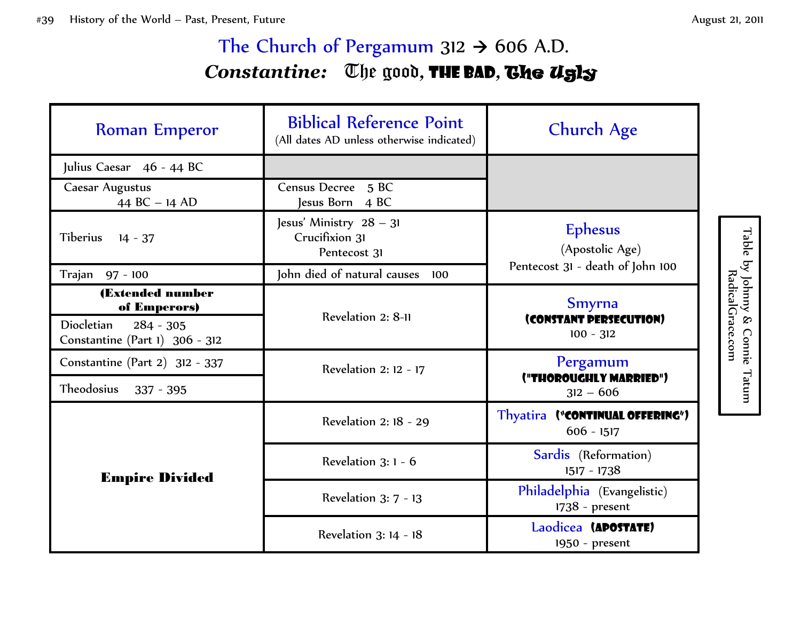## The Church of Pergamum  $312 \rightarrow 606$  A.D. *Constantine:* The good*,* the bad*,* The Ugly

| <b>Roman Emperor</b>                                        | <b>Biblical Reference Point</b><br>(All dates AD unless otherwise indicated) | Church Age                                                            |
|-------------------------------------------------------------|------------------------------------------------------------------------------|-----------------------------------------------------------------------|
| Julius Caesar 46 - 44 BC                                    |                                                                              |                                                                       |
| Caesar Augustus<br>44 BC $- 14$ AD                          | Census Decree 5 BC<br>lesus Born 4 BC                                        |                                                                       |
| Tiberius<br>$14 - 37$                                       | Jesus' Ministry 28 - 31<br>Crucifixion 31<br>Pentecost 31                    | <b>Ephesus</b><br>(Apostolic Age)<br>Pentecost 31 - death of John 100 |
| Trajan 97 - 100                                             | John died of natural causes<br>100                                           |                                                                       |
| (Extended number<br>of Emperors)                            | Revelation 2: 8-11                                                           | <b>Smyrna</b><br>(CONSTANT PERSECUTION)<br>$100 - 312$                |
| Diocletian<br>$284 - 305$<br>Constantine (Part 1) 306 - 312 |                                                                              |                                                                       |
| Constantine (Part 2) 312 - 337                              | Revelation 2: 12 - 17                                                        | Pergamum                                                              |
| Theodosius<br>$337 - 395$                                   |                                                                              | ("THOROUGHLY MARRIED")<br>$312 - 606$                                 |
| <b>Empire Divided</b>                                       | Revelation 2: 18 - 29                                                        | Thyatira ("CONTINUAL OFFERING")<br>$606 - 1517$                       |
|                                                             | Revelation $3:1 - 6$                                                         | Sardis (Reformation)<br>1517 - 1738                                   |
|                                                             | Revelation 3: 7 - 13                                                         | Philadelphia (Evangelistic)<br>1738 - present                         |
|                                                             | Revelation 3: 14 - 18                                                        | Laodicea (APOSTATE)<br>1950 - present                                 |

Table by Johnny & Connie Tatum<br>RadicalGrace.com by Johnny & Connie Tatum RadicalGrace.com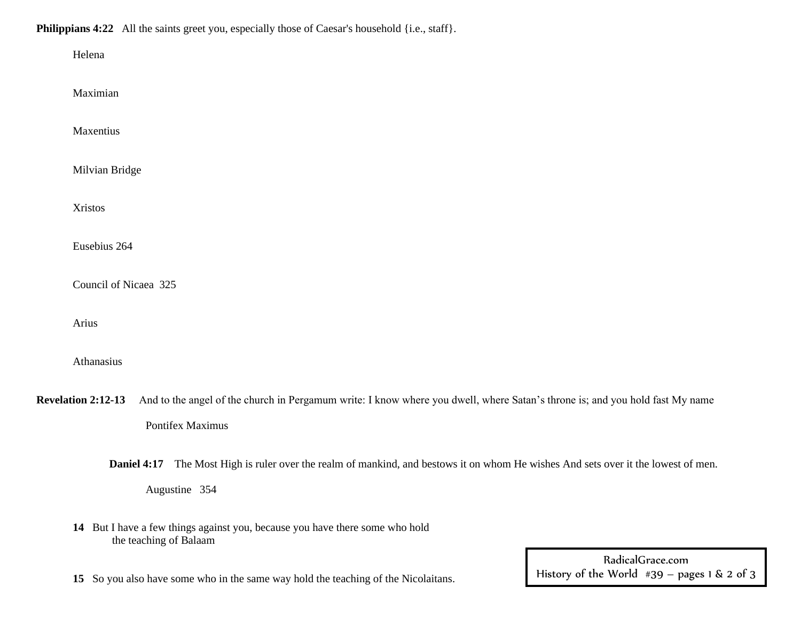## **Philippians 4:22** All the saints greet you, especially those of Caesar's household {i.e., staff}.

| Helena                                                                                                                                                                        |
|-------------------------------------------------------------------------------------------------------------------------------------------------------------------------------|
| Maximian                                                                                                                                                                      |
| Maxentius                                                                                                                                                                     |
| Milvian Bridge                                                                                                                                                                |
| <b>Xristos</b>                                                                                                                                                                |
| Eusebius 264                                                                                                                                                                  |
| Council of Nicaea 325                                                                                                                                                         |
| Arius                                                                                                                                                                         |
| Athanasius                                                                                                                                                                    |
| <b>Revelation 2:12-13</b><br>And to the angel of the church in Pergamum write: I know where you dwell, where Satan's throne is; and you hold fast My name<br>Pontifex Maximus |
| Daniel 4:17 The Most High is ruler over the realm of mankind, and bestows it on whom He wishes And sets over it the lowest of men.<br>Augustine 354                           |
| 14 But I have a few things against you, because you have there some who hold<br>the teaching of Balaam                                                                        |

**15** So you also have some who in the same way hold the teaching of the Nicolaitans.

RadicalGrace.com History of the World  $#39 - pages 1 & 2 of 3$ 333